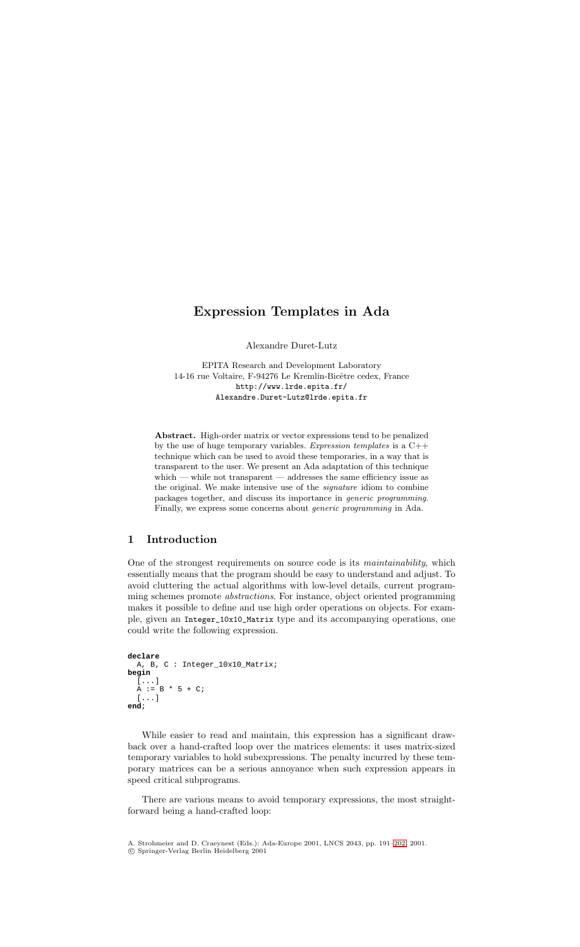# <span id="page-0-0"></span>**Expression Templates in Ada**

Alexandre Duret-Lutz

EPITA Research and Development Laboratory 14-16 rue Voltaire, F-94276 Le Kremlin-Bicêtre cedex, France http://www.lrde.epita.fr/ Alexandre.Duret-Lutz@lrde.epita.fr

**Abstract.** High-order matrix or vector expressions tend to be penalized by the use of huge temporary variables. Expression templates is a  $C++$ technique which can be used to avoid these temporaries, in a way that is transparent to the user. We present an Ada adaptation of this technique which — while not transparent — addresses the same efficiency issue as the original. We make intensive use of the signature idiom to combine packages together, and discuss its importance in generic programming. Finally, we express some concerns about generic programming in Ada.

## **1 Introduction**

One of the strongest requirements on source code is its maintainability, which essentially means that the program should be easy to understand and adjust. To avoid cluttering the actual algorithms with low-level details, current programming schemes promote abstractions. For instance, object oriented programming makes it possible to define and use high order operations on objects. For example, given an Integer\_10x10\_Matrix type and its accompanying operations, one could write the following expression.

```
declare
  A, B, C : Integer_10x10_Matrix;
begin
   [...]
  A := B * 5 + C;
   [...]
end;
```
While easier to read and maintain, this expression has a significant drawback over a hand-crafted loop over the matrices elements: it uses matrix-sized temporary variables to hold subexpressions. The penalty incurred by these temporary matrices can be a serious annoyance when such expression appears in speed critical subprograms.

There are various means to avoid temporary expressions, the most straightforward being a hand-crafted loop: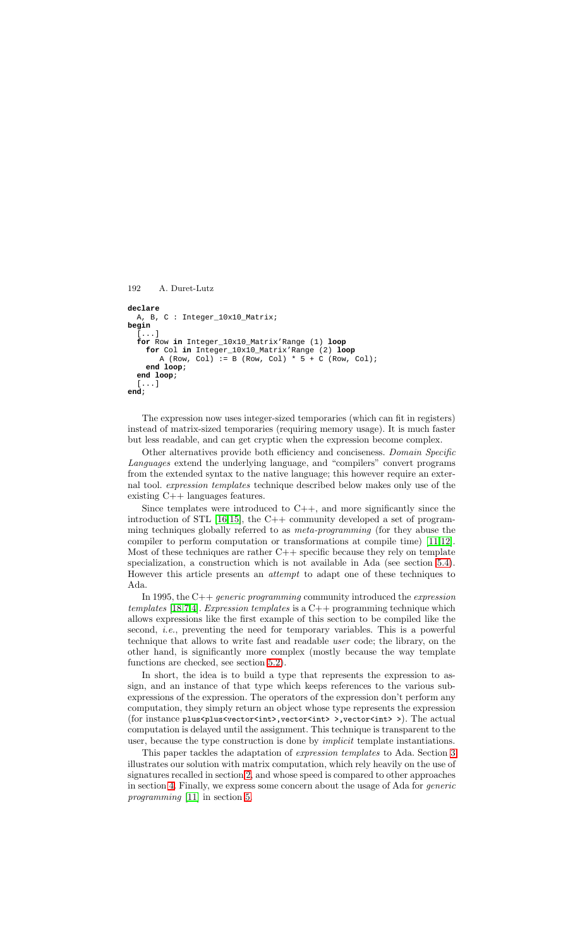```
declare
   A, B, C : Integer_10x10_Matrix;
begin
   [...]
   for Row in Integer_10x10_Matrix'Range (1) loop
     for Col in Integer_10x10_Matrix'Range (2) loop
       A (Row, Col) := B (Row, Col) * 5 + C (Row, Col);
     end loop;
   end loop;
   [...]
end;
```
The expression now uses integer-sized temporaries (which can fit in registers) instead of matrix-sized temporaries (requiring memory usage). It is much faster but less readable, and can get cryptic when the expression become complex.

Other alternatives provide both efficiency and conciseness. Domain Specific Languages extend the underlying language, and "compilers" convert programs from the extended syntax to the native language; this however require an external tool. expression templates technique described below makes only use of the existing C++ languages features.

Since templates were introduced to  $C_{++}$ , and more significantly since the introduction of STL [\[16,15\]](#page-11-0), the  $C++$  community developed a set of programming techniques globally referred to as meta-programming (for they abuse the compiler to perform computation or transformations at compile time) [\[11,12\]](#page-10-0). Most of these techniques are rather  $C++$  specific because they rely on template specialization, a construction which is not available in Ada (see section [5.4\)](#page-8-0). However this article presents an attempt to adapt one of these techniques to Ada.

In 1995, the  $C++$  generic programming community introduced the expression templates [\[18,](#page-11-0)[7,4\]](#page-10-0). Expression templates is a  $C_{++}$  programming technique which allows expressions like the first example of this section to be compiled like the second, i.e., preventing the need for temporary variables. This is a powerful technique that allows to write fast and readable user code; the library, on the other hand, is significantly more complex (mostly because the way template functions are checked, see section [5.2\)](#page-7-0).

In short, the idea is to build a type that represents the expression to assign, and an instance of that type which keeps references to the various subexpressions of the expression. The operators of the expression don't perform any computation, they simply return an object whose type represents the expression (for instance plus<plus<vector<int>,vector<int> >,vector<int> >). The actual computation is delayed until the assignment. This technique is transparent to the user, because the type construction is done by implicit template instantiations.

This paper tackles the adaptation of expression templates to Ada. Section [3](#page-3-0) illustrates our solution with matrix computation, which rely heavily on the use of signatures recalled in section 2, and whose speed is compared to other approaches in section [4.](#page-5-0) Finally, we express some concern about the usage of Ada for generic programming [\[11\]](#page-10-0) in section [5.](#page-6-0)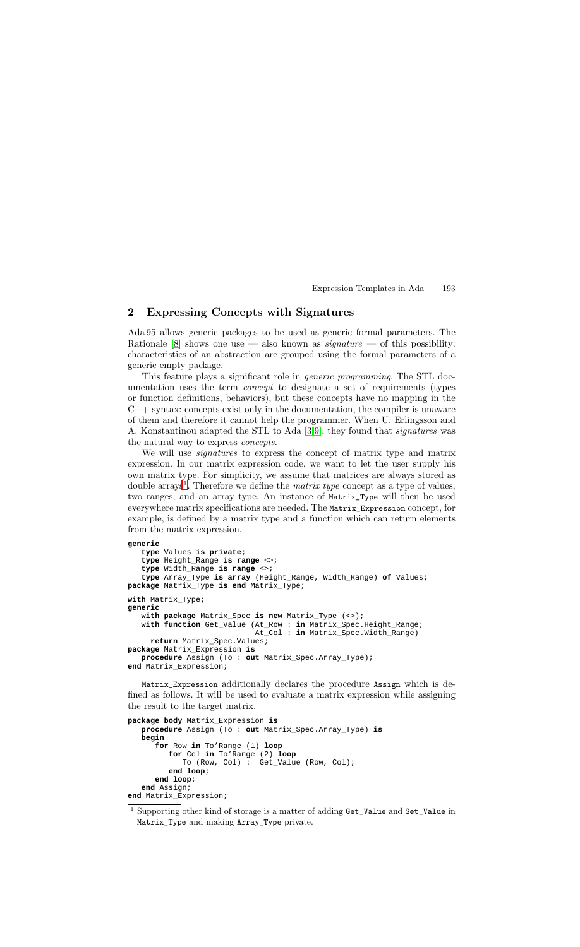### **2 Expressing Concepts with Signatures**

Ada 95 allows generic packages to be used as generic formal parameters. The Rationale  $[8]$  shows one use — also known as *signature* — of this possibility: characteristics of an abstraction are grouped using the formal parameters of a generic empty package.

This feature plays a significant role in generic programming. The STL documentation uses the term concept to designate a set of requirements (types or function definitions, behaviors), but these concepts have no mapping in the C++ syntax: concepts exist only in the documentation, the compiler is unaware of them and therefore it cannot help the programmer. When U. Erlingsson and A. Konstantinou adapted the STL to Ada [\[3,9\]](#page-10-0), they found that *signatures* was the natural way to express concepts.

We will use *signatures* to express the concept of matrix type and matrix expression. In our matrix expression code, we want to let the user supply his own matrix type. For simplicity, we assume that matrices are always stored as double arrays<sup>1</sup>. Therefore we define the *matrix type* concept as a type of values, two ranges, and an array type. An instance of Matrix\_Type will then be used everywhere matrix specifications are needed. The Matrix\_Expression concept, for example, is defined by a matrix type and a function which can return elements from the matrix expression.

```
generic
    type Values is private;
    type Height_Range is range <>;
    type Width_Range is range <>;
    type Array_Type is array (Height_Range, Width_Range) of Values;
package Matrix_Type is end Matrix_Type;
with Matrix_Type;
generic
    with package Matrix_Spec is new Matrix_Type (<>);
    with function Get_Value (At_Row : in Matrix_Spec.Height_Range;
                              At_Col : in Matrix_Spec.Width_Range)
      return Matrix_Spec.Values;
package Matrix_Expression is
    procedure Assign (To : out Matrix_Spec.Array_Type);
end Matrix_Expression;
```
Matrix\_Expression additionally declares the procedure Assign which is defined as follows. It will be used to evaluate a matrix expression while assigning the result to the target matrix.

```
package body Matrix_Expression is
    procedure Assign (To : out Matrix_Spec.Array_Type) is
    begin
       for Row in To'Range (1) loop
          for Col in To'Range (2) loop
            To (Row, Col) := Get Value (Row, Col);
          end loop;
       end loop;
    end Assign;
end Matrix_Expression;
```
 $^{\rm 1}$  Supporting other kind of storage is a matter of adding  ${\tt Get\_Value}$  and  ${\tt Set\_Value}$  in Matrix\_Type and making Array\_Type private.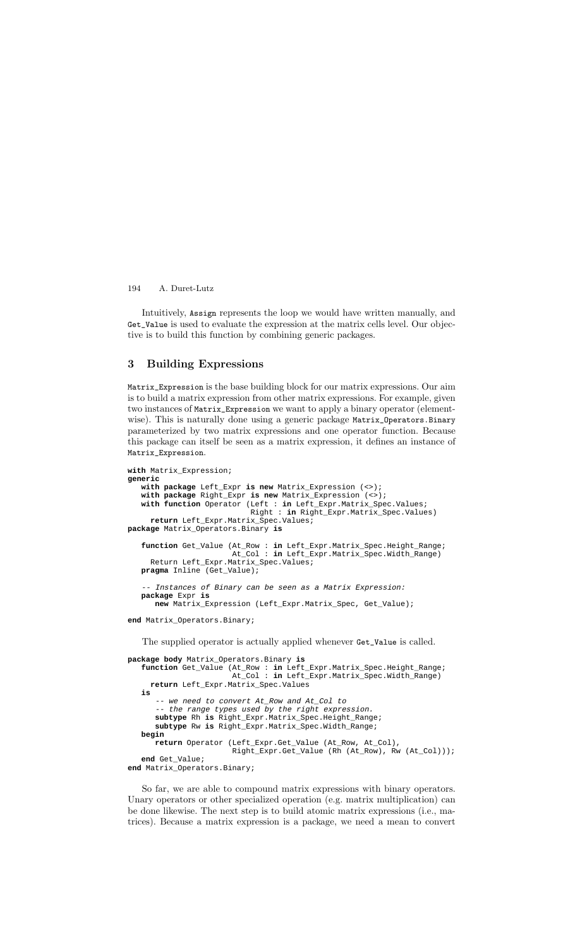<span id="page-3-0"></span>Intuitively, Assign represents the loop we would have written manually, and Get\_Value is used to evaluate the expression at the matrix cells level. Our objective is to build this function by combining generic packages.

## **3 Building Expressions**

Matrix\_Expression is the base building block for our matrix expressions. Our aim is to build a matrix expression from other matrix expressions. For example, given two instances of Matrix\_Expression we want to apply a binary operator (elementwise). This is naturally done using a generic package Matrix\_Operators.Binary parameterized by two matrix expressions and one operator function. Because this package can itself be seen as a matrix expression, it defines an instance of Matrix\_Expression.

```
with Matrix_Expression;
generic
    with package Left_Expr is new Matrix_Expression (<>);
    with package Right_Expr is new Matrix_Expression (<>);
    with function Operator (Left : in Left_Expr.Matrix_Spec.Values;
                            Right : in Right_Expr.Matrix_Spec.Values)
      return Left_Expr.Matrix_Spec.Values;
package Matrix_Operators.Binary is
    function Get_Value (At_Row : in Left_Expr.Matrix_Spec.Height_Range;
                        At_Col : in Left_Expr.Matrix_Spec.Width_Range)
      Return Left_Expr.Matrix_Spec.Values;
    pragma Inline (Get_Value);
    -- Instances of Binary can be seen as a Matrix Expression:
    package Expr is
       new Matrix_Expression (Left_Expr.Matrix_Spec, Get_Value);
end Matrix_Operators.Binary;
```
The supplied operator is actually applied whenever Get\_Value is called.

```
package body Matrix_Operators.Binary is
    function Get_Value (At_Row : in Left_Expr.Matrix_Spec.Height_Range;
                        At_Col : in Left_Expr.Matrix_Spec.Width_Range)
      return Left_Expr.Matrix_Spec.Values
    is
       -- we need to convert At_Row and At_Col to
       -- the range types used by the right expression.
       subtype Rh is Right_Expr.Matrix_Spec.Height_Range;
       subtype Rw is Right_Expr.Matrix_Spec.Width_Range;
    begin
       return Operator (Left_Expr.Get_Value (At_Row, At_Col),
                        Right_Expr.Get_Value (Rh (At_Row), Rw (At_Col)));
    end Get_Value;
end Matrix_Operators.Binary;
```
So far, we are able to compound matrix expressions with binary operators. Unary operators or other specialized operation (e.g. matrix multiplication) can be done likewise. The next step is to build atomic matrix expressions (i.e., matrices). Because a matrix expression is a package, we need a mean to convert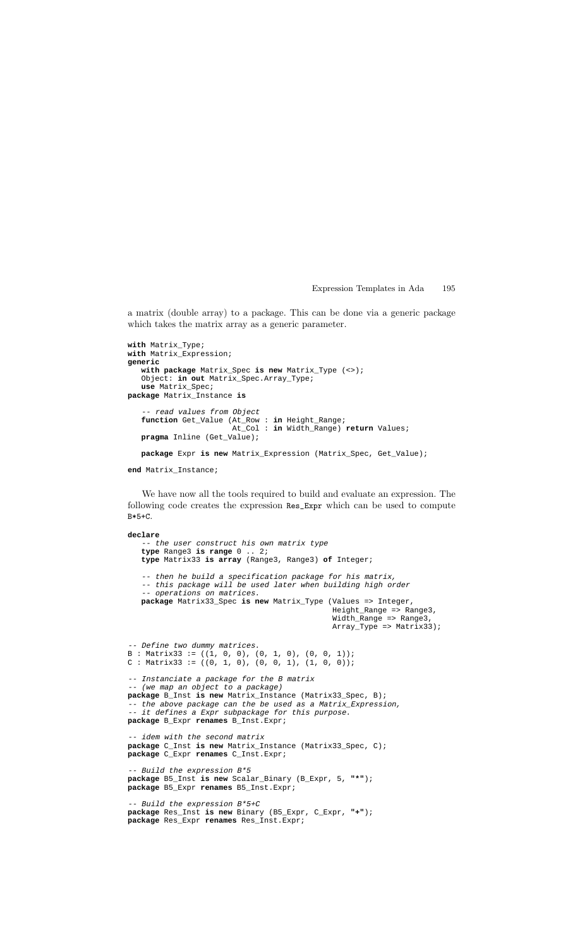a matrix (double array) to a package. This can be done via a generic package which takes the matrix array as a generic parameter.

```
with Matrix_Type;
with Matrix_Expression;
generic
    with package Matrix_Spec is new Matrix_Type (<>);
    Object: in out Matrix_Spec.Array_Type;
    use Matrix_Spec;
package Matrix_Instance is
    -- read values from Object
    function Get_Value (At_Row : in Height_Range;
                        At_Col : in Width_Range) return Values;
    pragma Inline (Get_Value);
    package Expr is new Matrix_Expression (Matrix_Spec, Get_Value);
end Matrix_Instance;
```
We have now all the tools required to build and evaluate an expression. The following code creates the expression Res\_Expr which can be used to compute B\*5+C.

```
declare
       -- the user construct his own matrix type
      type Range3 is range 0 .. 2;
      type Matrix33 is array (Range3, Range3) of Integer;
       -- then he build a specification package for his matrix,
       -- this package will be used later when building high order
      -- operations on matrices.
      package Matrix33_Spec is new Matrix_Type (Values => Integer,
                                                  Height_Range => Range3,
                                                 Width Range => Range3,
                                                  Array_Type => Matrix33);
   -- Define two dummy matrices.
 B : Matrix33 := ((1, 0, 0), (0, 1, 0), (0, 0, 1));
C : Matrix33 := ((0, 1, 0), (0, 0, 1), (1, 0, 0));
   -- Instanciate a package for the B matrix
   -- (we map an object to a package)
   package B_Inst is new Matrix_Instance (Matrix33_Spec, B);
    -- the above package can the be used as a Matrix_Expression,
   -- it defines a Expr subpackage for this purpose.
   package B_Expr renames B_Inst.Expr;
   -- idem with the second matrix
   package C_Inst is new Matrix_Instance (Matrix33_Spec, C);
   package C_Expr renames C_Inst.Expr;
   -- Build the expression B*5
   package B5_Inst is new Scalar_Binary (B_Expr, 5, "*");
   package B5_Expr renames B5_Inst.Expr;
   -- Build the expression B*5+C
   package Res_Inst is new Binary (B5_Expr, C_Expr, "+");
   package Res_Expr renames Res_Inst.Expr;
```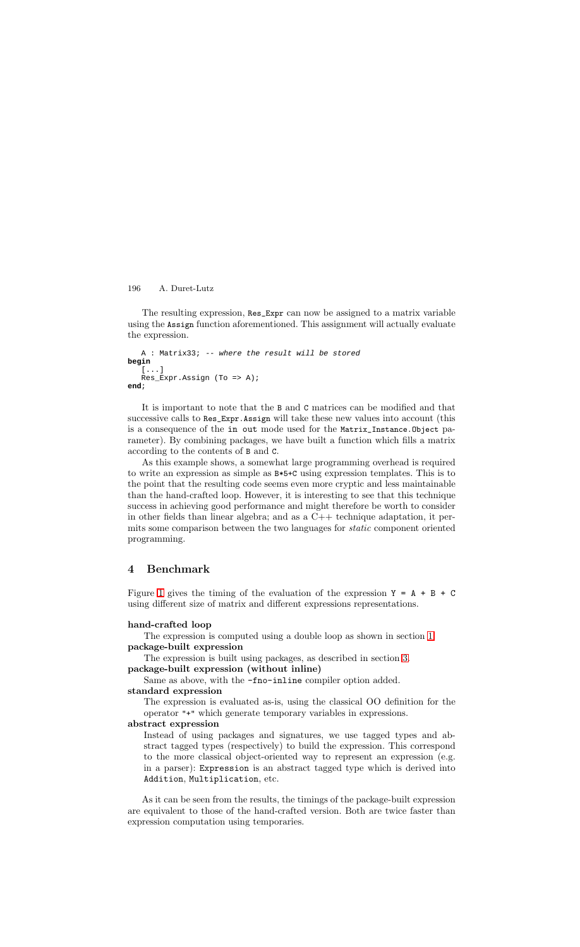<span id="page-5-0"></span>The resulting expression, Res\_Expr can now be assigned to a matrix variable using the Assign function aforementioned. This assignment will actually evaluate the expression.

```
 A : Matrix33; -- where the result will be stored
begin
    [...]
    Res_Expr.Assign (To => A);
end;
```
It is important to note that the B and C matrices can be modified and that successive calls to Res\_Expr.Assign will take these new values into account (this is a consequence of the in out mode used for the Matrix\_Instance.Object parameter). By combining packages, we have built a function which fills a matrix according to the contents of B and C.

As this example shows, a somewhat large programming overhead is required to write an expression as simple as B\*5+C using expression templates. This is to the point that the resulting code seems even more cryptic and less maintainable than the hand-crafted loop. However, it is interesting to see that this technique success in achieving good performance and might therefore be worth to consider in other fields than linear algebra; and as a  $C++$  technique adaptation, it permits some comparison between the two languages for static component oriented programming.

## **4 Benchmark**

Figure [1](#page-6-0) gives the timing of the evaluation of the expression  $Y = A + B + C$ using different size of matrix and different expressions representations.

### **hand-crafted loop**

The expression is computed using a double loop as shown in section [1.](#page-0-0) **package-built expression**

The expression is built using packages, as described in section [3.](#page-3-0)

```
package-built expression (without inline)
```
Same as above, with the  $\text{-fno-inline}$  compiler option added.

### **standard expression**

The expression is evaluated as-is, using the classical OO definition for the operator "+" which generate temporary variables in expressions.

### **abstract expression**

Instead of using packages and signatures, we use tagged types and abstract tagged types (respectively) to build the expression. This correspond to the more classical object-oriented way to represent an expression (e.g. in a parser): Expression is an abstract tagged type which is derived into Addition, Multiplication, etc.

As it can be seen from the results, the timings of the package-built expression are equivalent to those of the hand-crafted version. Both are twice faster than expression computation using temporaries.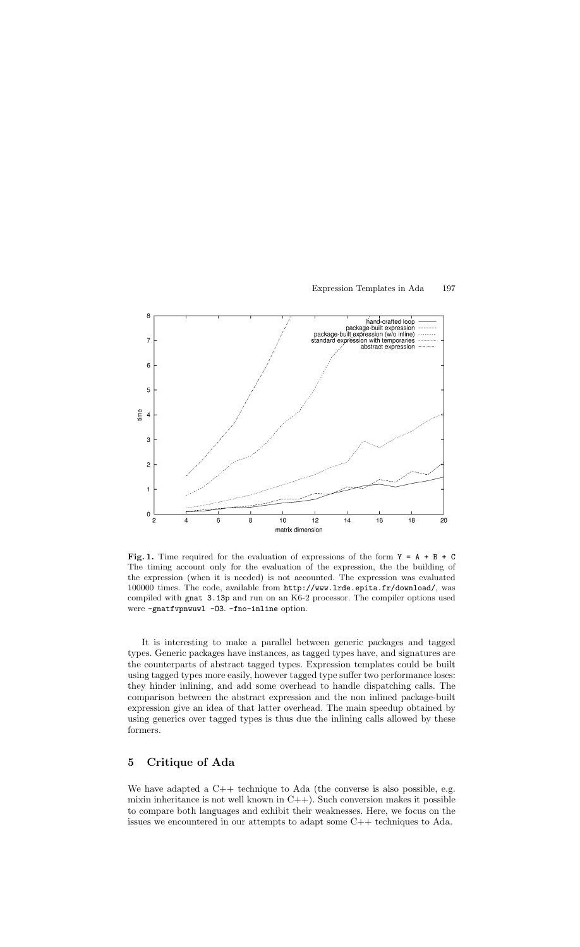<span id="page-6-0"></span>

**Fig. 1.** Time required for the evaluation of expressions of the form  $Y = A + B + C$ The timing account only for the evaluation of the expression, the the building of the expression (when it is needed) is not accounted. The expression was evaluated 100000 times. The code, available from http://www.lrde.epita.fr/download/, was compiled with gnat 3.13p and run on an K6-2 processor. The compiler options used were -gnatfvpnwuwl -03. -fno-inline option.

It is interesting to make a parallel between generic packages and tagged types. Generic packages have instances, as tagged types have, and signatures are the counterparts of abstract tagged types. Expression templates could be built using tagged types more easily, however tagged type suffer two performance loses: they hinder inlining, and add some overhead to handle dispatching calls. The comparison between the abstract expression and the non inlined package-built expression give an idea of that latter overhead. The main speedup obtained by using generics over tagged types is thus due the inlining calls allowed by these formers.

### **5 Critique of Ada**

We have adapted a  $C_{++}$  technique to Ada (the converse is also possible, e.g. mixin inheritance is not well known in  $C_{++}$ ). Such conversion makes it possible to compare both languages and exhibit their weaknesses. Here, we focus on the issues we encountered in our attempts to adapt some  $C++$  techniques to Ada.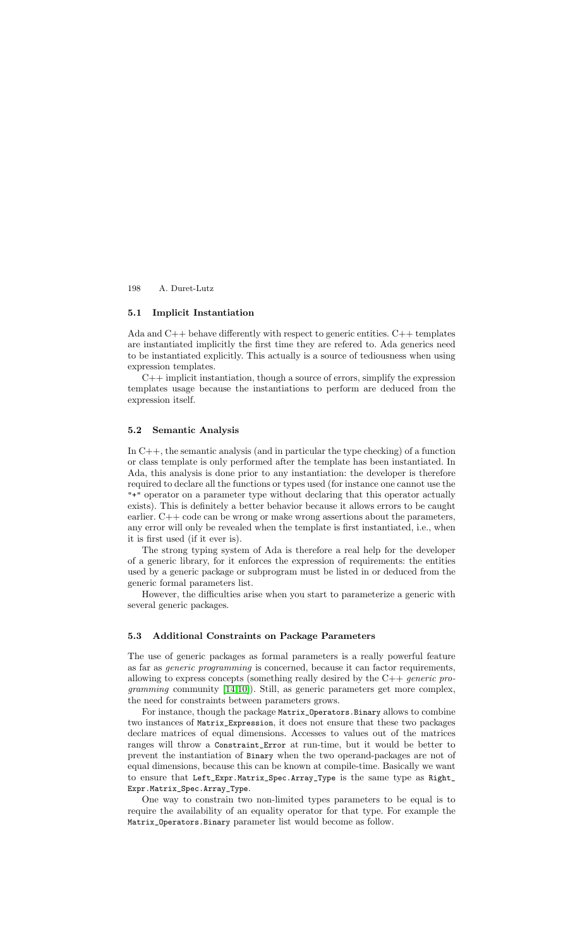#### <span id="page-7-0"></span>**5.1 Implicit Instantiation**

Ada and  $C_{++}$  behave differently with respect to generic entities.  $C_{++}$  templates are instantiated implicitly the first time they are refered to. Ada generics need to be instantiated explicitly. This actually is a source of tediousness when using expression templates.

C++ implicit instantiation, though a source of errors, simplify the expression templates usage because the instantiations to perform are deduced from the expression itself.

#### **5.2 Semantic Analysis**

In  $C_{++}$ , the semantic analysis (and in particular the type checking) of a function or class template is only performed after the template has been instantiated. In Ada, this analysis is done prior to any instantiation: the developer is therefore required to declare all the functions or types used (for instance one cannot use the "+" operator on a parameter type without declaring that this operator actually exists). This is definitely a better behavior because it allows errors to be caught earlier. C++ code can be wrong or make wrong assertions about the parameters, any error will only be revealed when the template is first instantiated, i.e., when it is first used (if it ever is).

The strong typing system of Ada is therefore a real help for the developer of a generic library, for it enforces the expression of requirements: the entities used by a generic package or subprogram must be listed in or deduced from the generic formal parameters list.

However, the difficulties arise when you start to parameterize a generic with several generic packages.

#### **5.3 Additional Constraints on Package Parameters**

The use of generic packages as formal parameters is a really powerful feature as far as generic programming is concerned, because it can factor requirements, allowing to express concepts (something really desired by the  $C++$  generic programming community [\[14,](#page-11-0)[10\]](#page-10-0)). Still, as generic parameters get more complex, the need for constraints between parameters grows.

For instance, though the package Matrix\_Operators.Binary allows to combine two instances of Matrix\_Expression, it does not ensure that these two packages declare matrices of equal dimensions. Accesses to values out of the matrices ranges will throw a Constraint\_Error at run-time, but it would be better to prevent the instantiation of Binary when the two operand-packages are not of equal dimensions, because this can be known at compile-time. Basically we want to ensure that Left\_Expr.Matrix\_Spec.Array\_Type is the same type as Right\_ Expr.Matrix\_Spec.Array\_Type.

One way to constrain two non-limited types parameters to be equal is to require the availability of an equality operator for that type. For example the Matrix\_Operators.Binary parameter list would become as follow.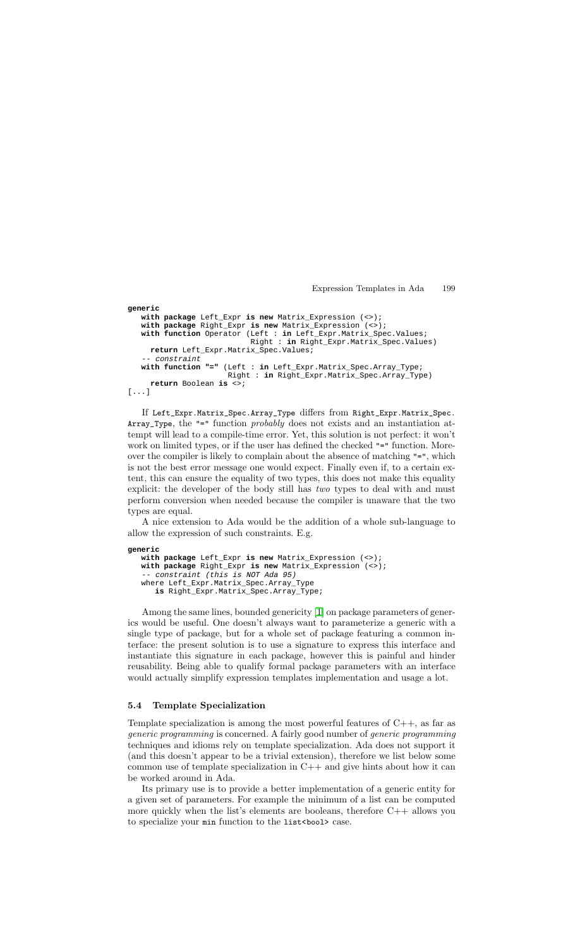```
generic
    with package Left_Expr is new Matrix_Expression (<>);
    with package Right_Expr is new Matrix_Expression (<>);
   with function Operator (Left : in Left_Expr.Matrix_Spec.Values;
                             Right : in Right_Expr.Matrix_Spec.Values)
     return Left_Expr.Matrix_Spec.Values;
    -- constraint
    with function "=" (Left : in Left_Expr.Matrix_Spec.Array_Type;
                       Right : in Right_Expr.Matrix_Spec.Array_Type)
     return Boolean is <>;
[...]
```
If Left\_Expr.Matrix\_Spec.Array\_Type differs from Right\_Expr.Matrix\_Spec. Array\_Type, the "=" function probably does not exists and an instantiation attempt will lead to a compile-time error. Yet, this solution is not perfect: it won't work on limited types, or if the user has defined the checked "=" function. Moreover the compiler is likely to complain about the absence of matching "=", which is not the best error message one would expect. Finally even if, to a certain extent, this can ensure the equality of two types, this does not make this equality explicit: the developer of the body still has two types to deal with and must perform conversion when needed because the compiler is unaware that the two types are equal.

A nice extension to Ada would be the addition of a whole sub-language to allow the expression of such constraints. E.g.

```
generic
    with package Left_Expr is new Matrix_Expression (<>);
    with package Right_Expr is new Matrix_Expression (<>);
    -- constraint (this is NOT Ada 95)
    where Left_Expr.Matrix_Spec.Array_Type
       is Right_Expr.Matrix_Spec.Array_Type;
```
Among the same lines, bounded genericity [\[1\]](#page-10-0) on package parameters of generics would be useful. One doesn't always want to parameterize a generic with a single type of package, but for a whole set of package featuring a common interface: the present solution is to use a signature to express this interface and instantiate this signature in each package, however this is painful and hinder reusability. Being able to qualify formal package parameters with an interface would actually simplify expression templates implementation and usage a lot.

#### **5.4 Template Specialization**

Template specialization is among the most powerful features of  $C_{++}$ , as far as generic programming is concerned. A fairly good number of generic programming techniques and idioms rely on template specialization. Ada does not support it (and this doesn't appear to be a trivial extension), therefore we list below some common use of template specialization in  $C++$  and give hints about how it can be worked around in Ada.

Its primary use is to provide a better implementation of a generic entity for a given set of parameters. For example the minimum of a list can be computed more quickly when the list's elements are booleans, therefore  $C++$  allows you to specialize your min function to the list <br/>bool> case.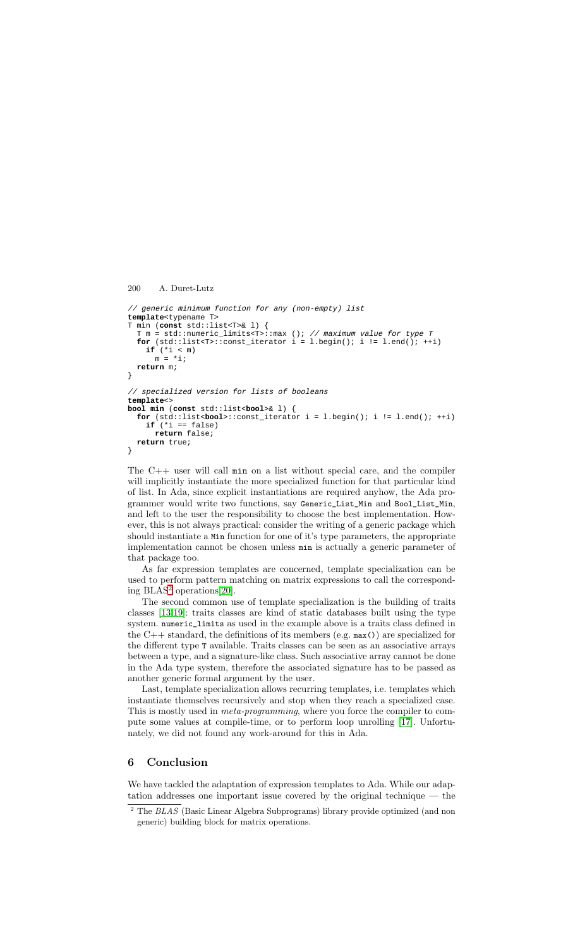```
// generic minimum function for any (non-empty) list
template<typename T>
T min (const std::list<T>& l) {
  T m = std:numeric limits<T>::max (); // maximum value for type T
  for (std::list<T>::const_iterator i = 1.begin(); i != 1.end(); ++i) if (*i < m)
      m = *i; return m;
}
// specialized version for lists of booleans
template<>
bool min (const std::list<bool>& l) {
  for (std::list <b>bool</b>>\n::const_iterator i = 1.begin(); i != 1.end(); +i)if (*i == false) return false;
   return true;
}
```
The  $C++$  user will call  $min$  on a list without special care, and the compiler will implicitly instantiate the more specialized function for that particular kind of list. In Ada, since explicit instantiations are required anyhow, the Ada programmer would write two functions, say Generic\_List\_Min and Bool\_List\_Min, and left to the user the responsibility to choose the best implementation. However, this is not always practical: consider the writing of a generic package which should instantiate a Min function for one of it's type parameters, the appropriate implementation cannot be chosen unless min is actually a generic parameter of that package too.

As far expression templates are concerned, template specialization can be used to perform pattern matching on matrix expressions to call the corresponding  $BLAS<sup>2</sup>$  operations[\[20\]](#page-11-0).

The second common use of template specialization is the building of traits classes [\[13](#page-10-0)[,19\]](#page-11-0): traits classes are kind of static databases built using the type system. numeric\_limits as used in the example above is a traits class defined in the C++ standard, the definitions of its members (e.g.  $max()$ ) are specialized for the different type T available. Traits classes can be seen as an associative arrays between a type, and a signature-like class. Such associative array cannot be done in the Ada type system, therefore the associated signature has to be passed as another generic formal argument by the user.

Last, template specialization allows recurring templates, i.e. templates which instantiate themselves recursively and stop when they reach a specialized case. This is mostly used in meta-programming, where you force the compiler to compute some values at compile-time, or to perform loop unrolling [\[17\]](#page-11-0). Unfortunately, we did not found any work-around for this in Ada.

## **6 Conclusion**

We have tackled the adaptation of expression templates to Ada. While our adaptation addresses one important issue covered by the original technique — the

 $^2$  The  $BLAS$  (Basic Linear Algebra Subprograms) library provide optimized (and non generic) building block for matrix operations.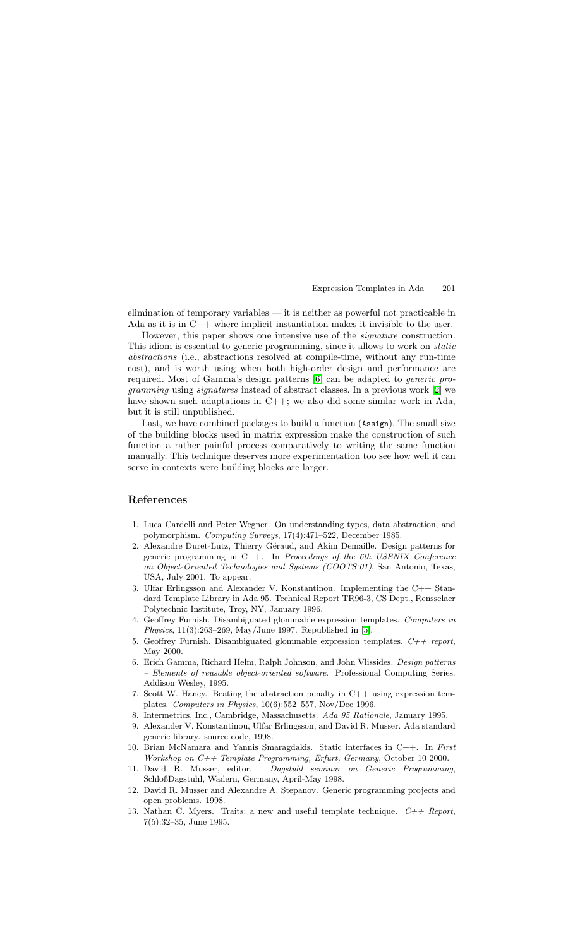<span id="page-10-0"></span>elimination of temporary variables — it is neither as powerful not practicable in Ada as it is in C++ where implicit instantiation makes it invisible to the user.

However, this paper shows one intensive use of the signature construction. This idiom is essential to generic programming, since it allows to work on static abstractions (i.e., abstractions resolved at compile-time, without any run-time cost), and is worth using when both high-order design and performance are required. Most of Gamma's design patterns [6] can be adapted to generic programming using signatures instead of abstract classes. In a previous work [2] we have shown such adaptations in C++; we also did some similar work in Ada, but it is still unpublished.

Last, we have combined packages to build a function (Assign). The small size of the building blocks used in matrix expression make the construction of such function a rather painful process comparatively to writing the same function manually. This technique deserves more experimentation too see how well it can serve in contexts were building blocks are larger.

### **References**

- 1. Luca Cardelli and Peter Wegner. On understanding types, data abstraction, and polymorphism. Computing Surveys, 17(4):471–522, December 1985.
- 2. Alexandre Duret-Lutz, Thierry Géraud, and Akim Demaille. Design patterns for generic programming in C++. In Proceedings of the 6th USENIX Conference on Object-Oriented Technologies and Systems (COOTS'01), San Antonio, Texas, USA, July 2001. To appear.
- 3. Ulfar Erlingsson and Alexander V. Konstantinou. Implementing the C++ Standard Template Library in Ada 95. Technical Report TR96-3, CS Dept., Rensselaer Polytechnic Institute, Troy, NY, January 1996.
- 4. Geoffrey Furnish. Disambiguated glommable expression templates. Computers in Physics,  $11(3):263-269$ , May/June 1997. Republished in [5].
- 5. Geoffrey Furnish. Disambiguated glommable expression templates.  $C++$  report, May 2000.
- 6. Erich Gamma, Richard Helm, Ralph Johnson, and John Vlissides. Design patterns – Elements of reusable object-oriented software. Professional Computing Series. Addison Wesley, 1995.
- 7. Scott W. Haney. Beating the abstraction penalty in C++ using expression templates. Computers in Physics, 10(6):552–557, Nov/Dec 1996.
- 8. Intermetrics, Inc., Cambridge, Massachusetts. Ada 95 Rationale, January 1995.
- 9. Alexander V. Konstantinou, Ulfar Erlingsson, and David R. Musser. Ada standard generic library. source code, 1998.
- 10. Brian McNamara and Yannis Smaragdakis. Static interfaces in C++. In First Workshop on C++ Template Programming, Erfurt, Germany, October 10 2000.
- 11. David R. Musser, editor. Dagstuhl seminar on Generic Programming, SchloßDagstuhl, Wadern, Germany, April-May 1998.
- 12. David R. Musser and Alexandre A. Stepanov. Generic programming projects and open problems. 1998.
- 13. Nathan C. Myers. Traits: a new and useful template technique.  $C++$  Report, 7(5):32–35, June 1995.